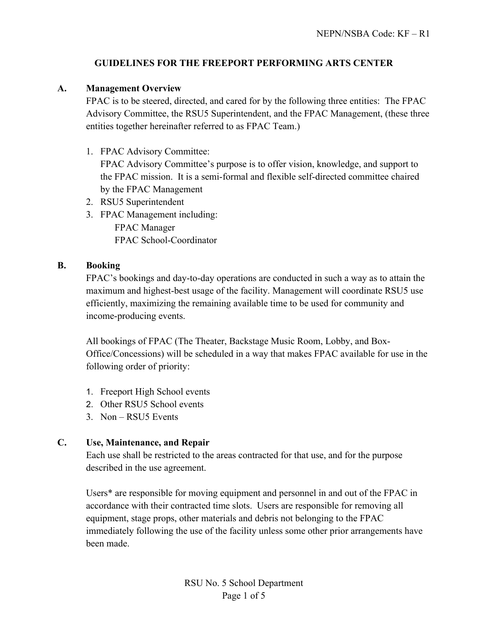## **GUIDELINES FOR THE FREEPORT PERFORMING ARTS CENTER**

## **A. Management Overview**

FPAC is to be steered, directed, and cared for by the following three entities: The FPAC Advisory Committee, the RSU5 Superintendent, and the FPAC Management, (these three entities together hereinafter referred to as FPAC Team.)

- 1. FPAC Advisory Committee: FPAC Advisory Committee's purpose is to offer vision, knowledge, and support to the FPAC mission. It is a semi-formal and flexible self-directed committee chaired by the FPAC Management
- 2. RSU5 Superintendent
- 3. FPAC Management including: FPAC Manager FPAC School-Coordinator

## **B. Booking**

FPAC's bookings and day-to-day operations are conducted in such a way as to attain the maximum and highest-best usage of the facility. Management will coordinate RSU5 use efficiently, maximizing the remaining available time to be used for community and income-producing events.

All bookings of FPAC (The Theater, Backstage Music Room, Lobby, and Box-Office/Concessions) will be scheduled in a way that makes FPAC available for use in the following order of priority:

- 1. Freeport High School events
- 2. Other RSU5 School events
- 3. Non RSU5 Events

## **C. Use, Maintenance, and Repair**

Each use shall be restricted to the areas contracted for that use, and for the purpose described in the use agreement.

Users\* are responsible for moving equipment and personnel in and out of the FPAC in accordance with their contracted time slots. Users are responsible for removing all equipment, stage props, other materials and debris not belonging to the FPAC immediately following the use of the facility unless some other prior arrangements have been made.

> RSU No. 5 School Department Page 1 of 5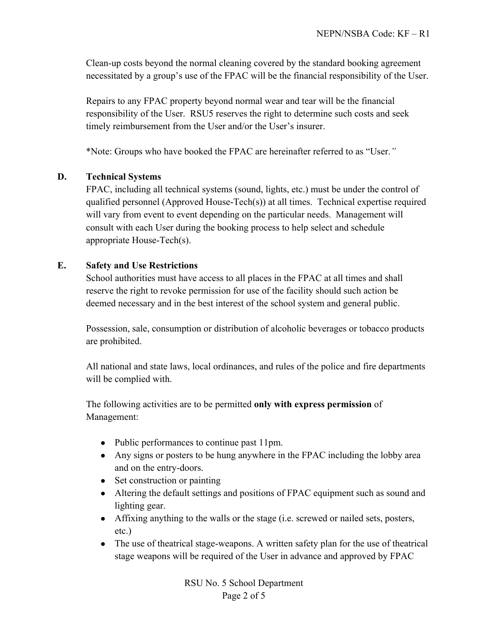Clean-up costs beyond the normal cleaning covered by the standard booking agreement necessitated by a group's use of the FPAC will be the financial responsibility of the User.

Repairs to any FPAC property beyond normal wear and tear will be the financial responsibility of the User. RSU5 reserves the right to determine such costs and seek timely reimbursement from the User and/or the User's insurer.

\*Note: Groups who have booked the FPAC are hereinafter referred to as "User.*"*

### **D. Technical Systems**

FPAC, including all technical systems (sound, lights, etc.) must be under the control of qualified personnel (Approved House-Tech(s)) at all times. Technical expertise required will vary from event to event depending on the particular needs. Management will consult with each User during the booking process to help select and schedule appropriate House-Tech(s).

#### **E. Safety and Use Restrictions**

School authorities must have access to all places in the FPAC at all times and shall reserve the right to revoke permission for use of the facility should such action be deemed necessary and in the best interest of the school system and general public.

Possession, sale, consumption or distribution of alcoholic beverages or tobacco products are prohibited.

All national and state laws, local ordinances, and rules of the police and fire departments will be complied with.

The following activities are to be permitted **only with express permission** of Management:

- Public performances to continue past 11pm.
- Any signs or posters to be hung anywhere in the FPAC including the lobby area and on the entry-doors.
- Set construction or painting
- Altering the default settings and positions of FPAC equipment such as sound and lighting gear.
- Affixing anything to the walls or the stage (i.e. screwed or nailed sets, posters, etc.)
- The use of theatrical stage-weapons. A written safety plan for the use of theatrical stage weapons will be required of the User in advance and approved by FPAC

RSU No. 5 School Department Page 2 of 5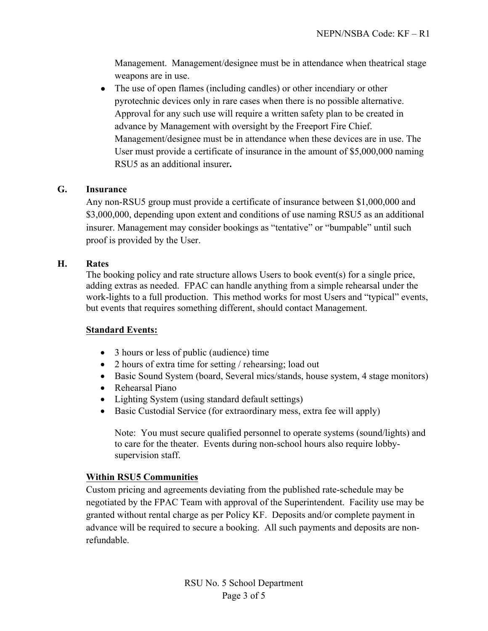Management. Management/designee must be in attendance when theatrical stage weapons are in use.

• The use of open flames (including candles) or other incendiary or other pyrotechnic devices only in rare cases when there is no possible alternative. Approval for any such use will require a written safety plan to be created in advance by Management with oversight by the Freeport Fire Chief. Management/designee must be in attendance when these devices are in use. The User must provide a certificate of insurance in the amount of \$5,000,000 naming RSU5 as an additional insurer**.**

### **G. Insurance**

Any non-RSU5 group must provide a certificate of insurance between \$1,000,000 and \$3,000,000, depending upon extent and conditions of use naming RSU5 as an additional insurer. Management may consider bookings as "tentative" or "bumpable" until such proof is provided by the User.

### **H. Rates**

The booking policy and rate structure allows Users to book event(s) for a single price, adding extras as needed. FPAC can handle anything from a simple rehearsal under the work-lights to a full production. This method works for most Users and "typical" events, but events that requires something different, should contact Management.

### **Standard Events:**

- 3 hours or less of public (audience) time
- 2 hours of extra time for setting / rehearsing; load out
- Basic Sound System (board, Several mics/stands, house system, 4 stage monitors)
- Rehearsal Piano
- Lighting System (using standard default settings)
- Basic Custodial Service (for extraordinary mess, extra fee will apply)

Note: You must secure qualified personnel to operate systems (sound/lights) and to care for the theater. Events during non-school hours also require lobbysupervision staff.

### **Within RSU5 Communities**

Custom pricing and agreements deviating from the published rate-schedule may be negotiated by the FPAC Team with approval of the Superintendent. Facility use may be granted without rental charge as per Policy KF. Deposits and/or complete payment in advance will be required to secure a booking. All such payments and deposits are nonrefundable.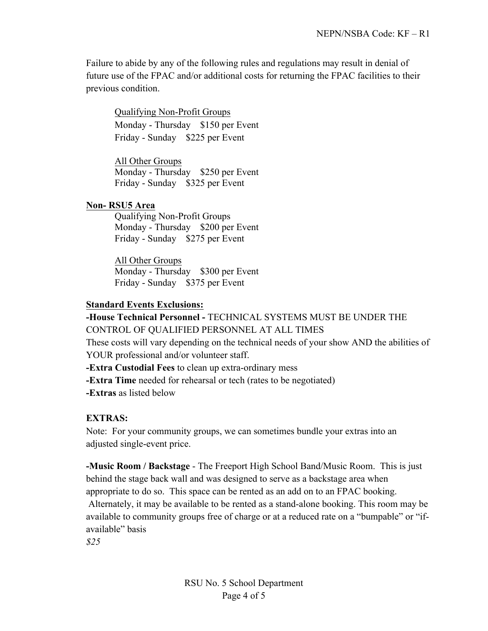Failure to abide by any of the following rules and regulations may result in denial of future use of the FPAC and/or additional costs for returning the FPAC facilities to their previous condition.

Qualifying Non-Profit Groups Monday - Thursday \$150 per Event Friday - Sunday \$225 per Event

All Other Groups Monday - Thursday \$250 per Event Friday - Sunday \$325 per Event

#### **Non- RSU5 Area**

Qualifying Non-Profit Groups Monday - Thursday \$200 per Event Friday - Sunday \$275 per Event

All Other Groups Monday - Thursday \$300 per Event Friday - Sunday \$375 per Event

#### **Standard Events Exclusions:**

#### **-House Technical Personnel -** TECHNICAL SYSTEMS MUST BE UNDER THE CONTROL OF QUALIFIED PERSONNEL AT ALL TIMES

These costs will vary depending on the technical needs of your show AND the abilities of YOUR professional and/or volunteer staff.

**-Extra Custodial Fees** to clean up extra-ordinary mess

**-Extra Time** needed for rehearsal or tech (rates to be negotiated)

**-Extras** as listed below

#### **EXTRAS:**

Note: For your community groups, we can sometimes bundle your extras into an adjusted single-event price.

**-Music Room / Backstage** - The Freeport High School Band/Music Room. This is just behind the stage back wall and was designed to serve as a backstage area when appropriate to do so. This space can be rented as an add on to an FPAC booking. Alternately, it may be available to be rented as a stand-alone booking. This room may be available to community groups free of charge or at a reduced rate on a "bumpable" or "ifavailable" basis

*\$25*

RSU No. 5 School Department Page 4 of 5